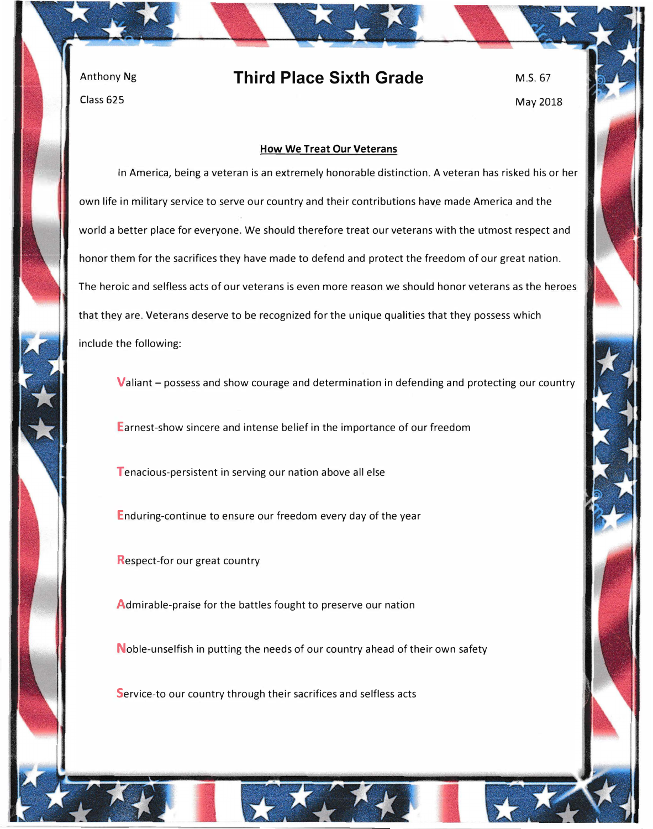Anthony Ng Class 625

## **Third Place Sixth Grade**

M.S.67 May 2018

## **How We Treat Our Veterans**

In America, being a veteran is an extremely honorable distinction. A veteran has risked his or her own life in military service to serve our country and their contributions have made America and the world a better place for everyone. We should therefore treat our veterans with the utmost respect and honor them for the sacrifices they have made to defend and protect the freedom of our great nation. The heroic and selfless acts of our veterans is even more reason we should honor veterans as the heroes that they are. Veterans deserve to be recognized for the unique qualities that they possess which include the following:

Valiant – possess and show courage and determination in defending and protecting our country

Earnest-show sincere and intense belief in the importance of our freedom

Tenacious-persistent in serving our nation above all else

Enduring-continue to ensure our freedom every day of the year

Respect-for our great country

Admirable-praise for the battles fought to preserve our nation

Noble-unselfish in putting the needs of our country ahead of their own safety

Service-to our country through their sacrifices and selfless acts